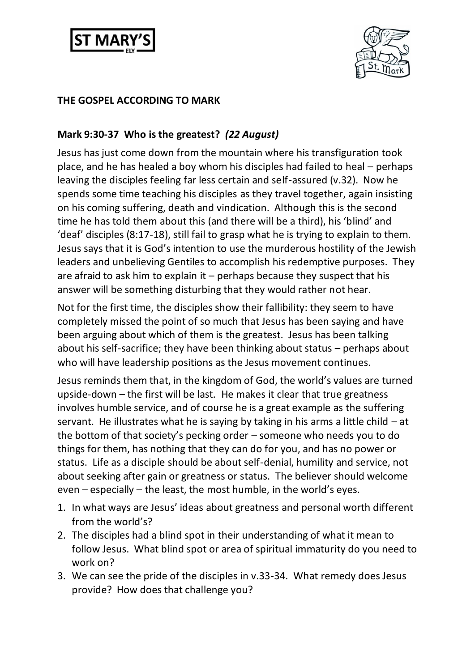



## **THE GOSPEL ACCORDING TO MARK**

## **Mark 9:30-37 Who is the greatest?** *(22 August)*

Jesus has just come down from the mountain where his transfiguration took place, and he has healed a boy whom his disciples had failed to heal – perhaps leaving the disciples feeling far less certain and self-assured (v.32). Now he spends some time teaching his disciples as they travel together, again insisting on his coming suffering, death and vindication. Although this is the second time he has told them about this (and there will be a third), his 'blind' and 'deaf' disciples (8:17-18), still fail to grasp what he is trying to explain to them. Jesus says that it is God's intention to use the murderous hostility of the Jewish leaders and unbelieving Gentiles to accomplish his redemptive purposes. They are afraid to ask him to explain it – perhaps because they suspect that his answer will be something disturbing that they would rather not hear.

Not for the first time, the disciples show their fallibility: they seem to have completely missed the point of so much that Jesus has been saying and have been arguing about which of them is the greatest. Jesus has been talking about his self-sacrifice; they have been thinking about status – perhaps about who will have leadership positions as the Jesus movement continues.

Jesus reminds them that, in the kingdom of God, the world's values are turned upside-down – the first will be last. He makes it clear that true greatness involves humble service, and of course he is a great example as the suffering servant. He illustrates what he is saying by taking in his arms a little child – at the bottom of that society's pecking order – someone who needs you to do things for them, has nothing that they can do for you, and has no power or status. Life as a disciple should be about self-denial, humility and service, not about seeking after gain or greatness or status. The believer should welcome even – especially – the least, the most humble, in the world's eyes.

- 1. In what ways are Jesus' ideas about greatness and personal worth different from the world's?
- 2. The disciples had a blind spot in their understanding of what it mean to follow Jesus. What blind spot or area of spiritual immaturity do you need to work on?
- 3. We can see the pride of the disciples in v.33-34. What remedy does Jesus provide? How does that challenge you?